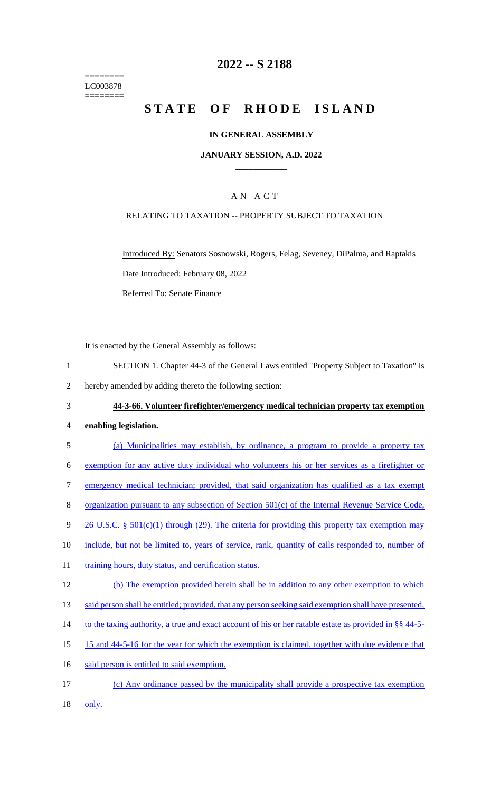======== LC003878 ========

# **2022 -- S 2188**

# **STATE OF RHODE ISLAND**

### **IN GENERAL ASSEMBLY**

### **JANUARY SESSION, A.D. 2022 \_\_\_\_\_\_\_\_\_\_\_\_**

# A N A C T

### RELATING TO TAXATION -- PROPERTY SUBJECT TO TAXATION

Introduced By: Senators Sosnowski, Rogers, Felag, Seveney, DiPalma, and Raptakis Date Introduced: February 08, 2022 Referred To: Senate Finance

It is enacted by the General Assembly as follows:

1 SECTION 1. Chapter 44-3 of the General Laws entitled "Property Subject to Taxation" is

2 hereby amended by adding thereto the following section:

3 **44-3-66. Volunteer firefighter/emergency medical technician property tax exemption** 

### 4 **enabling legislation.**

- 5 (a) Municipalities may establish, by ordinance, a program to provide a property tax 6 exemption for any active duty individual who volunteers his or her services as a firefighter or 7 emergency medical technician; provided, that said organization has qualified as a tax exempt 8 organization pursuant to any subsection of Section 501(c) of the Internal Revenue Service Code, 9 26 U.S.C. § 501(c)(1) through (29). The criteria for providing this property tax exemption may 10 include, but not be limited to, years of service, rank, quantity of calls responded to, number of 11 training hours, duty status, and certification status. 12 (b) The exemption provided herein shall be in addition to any other exemption to which 13 said person shall be entitled; provided, that any person seeking said exemption shall have presented, 14 to the taxing authority, a true and exact account of his or her ratable estate as provided in §§ 44-5-15 15 and 44-5-16 for the year for which the exemption is claimed, together with due evidence that 16 said person is entitled to said exemption.
- 17 (c) Any ordinance passed by the municipality shall provide a prospective tax exemption 18 <u>only.</u>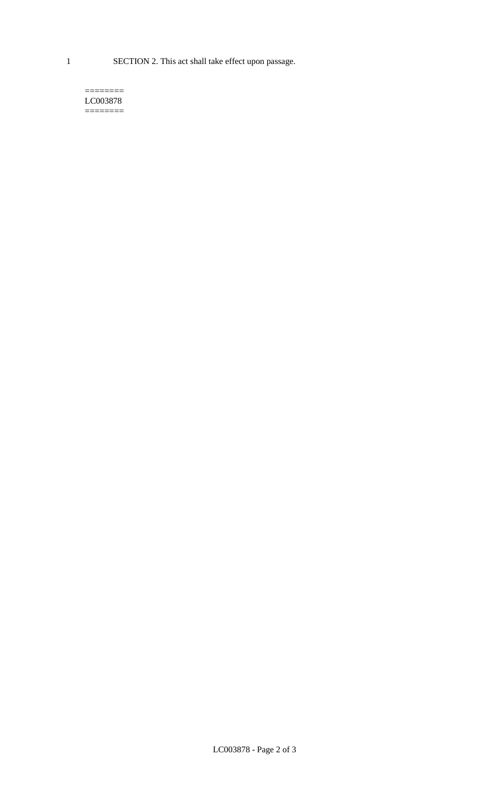1 SECTION 2. This act shall take effect upon passage.

#### $=$ LC003878  $=$